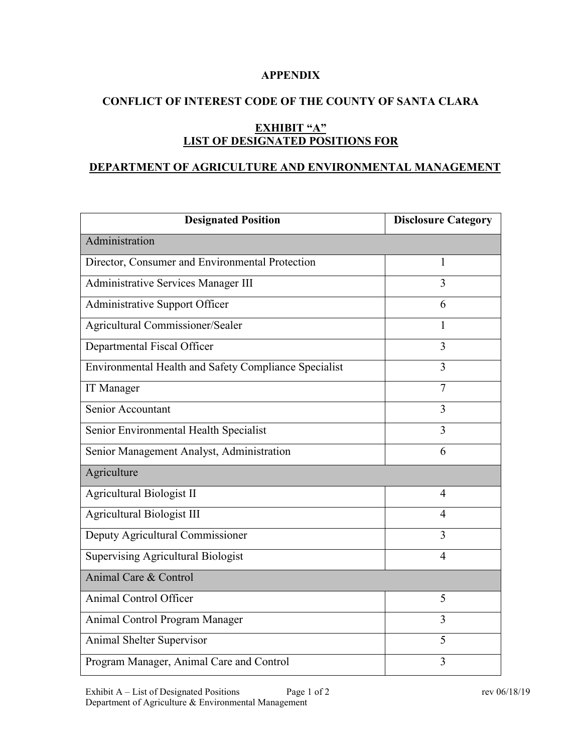### **APPENDIX**

# **CONFLICT OF INTEREST CODE OF THE COUNTY OF SANTA CLARA**

# **EXHIBIT "A" LIST OF DESIGNATED POSITIONS FOR**

### **DEPARTMENT OF AGRICULTURE AND ENVIRONMENTAL MANAGEMENT**

| <b>Designated Position</b>                            | <b>Disclosure Category</b> |
|-------------------------------------------------------|----------------------------|
| Administration                                        |                            |
| Director, Consumer and Environmental Protection       | 1                          |
| Administrative Services Manager III                   | 3                          |
| Administrative Support Officer                        | 6                          |
| Agricultural Commissioner/Sealer                      | $\mathbf{1}$               |
| Departmental Fiscal Officer                           | 3                          |
| Environmental Health and Safety Compliance Specialist | $\overline{3}$             |
| IT Manager                                            | $\overline{7}$             |
| Senior Accountant                                     | 3                          |
| Senior Environmental Health Specialist                | 3                          |
| Senior Management Analyst, Administration             | 6                          |
| Agriculture                                           |                            |
| Agricultural Biologist II                             | $\overline{4}$             |
| Agricultural Biologist III                            | 4                          |
| Deputy Agricultural Commissioner                      | 3                          |
| <b>Supervising Agricultural Biologist</b>             | $\overline{4}$             |
| Animal Care & Control                                 |                            |
| Animal Control Officer                                | 5                          |
| Animal Control Program Manager                        | 3                          |
| Animal Shelter Supervisor                             | 5                          |
| Program Manager, Animal Care and Control              | 3                          |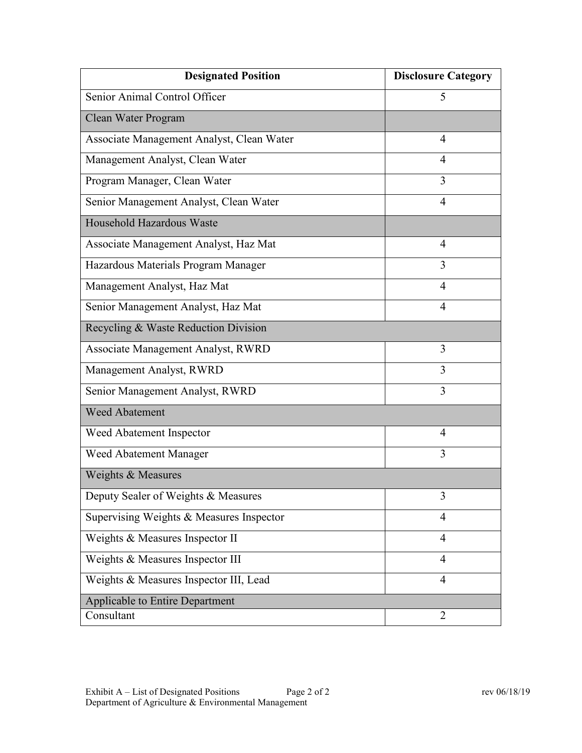| <b>Designated Position</b>                | <b>Disclosure Category</b> |
|-------------------------------------------|----------------------------|
| Senior Animal Control Officer             | 5                          |
| Clean Water Program                       |                            |
| Associate Management Analyst, Clean Water | 4                          |
| Management Analyst, Clean Water           | 4                          |
| Program Manager, Clean Water              | 3                          |
| Senior Management Analyst, Clean Water    | $\overline{4}$             |
| Household Hazardous Waste                 |                            |
| Associate Management Analyst, Haz Mat     | 4                          |
| Hazardous Materials Program Manager       | 3                          |
| Management Analyst, Haz Mat               | 4                          |
| Senior Management Analyst, Haz Mat        | 4                          |
| Recycling & Waste Reduction Division      |                            |
| Associate Management Analyst, RWRD        | 3                          |
| Management Analyst, RWRD                  | 3                          |
| Senior Management Analyst, RWRD           | 3                          |
| <b>Weed Abatement</b>                     |                            |
| Weed Abatement Inspector                  | 4                          |
| Weed Abatement Manager                    | 3                          |
| Weights & Measures                        |                            |
| Deputy Sealer of Weights & Measures       | 3                          |
| Supervising Weights & Measures Inspector  | 4                          |
| Weights & Measures Inspector II           | 4                          |
| Weights & Measures Inspector III          | 4                          |
| Weights & Measures Inspector III, Lead    | $\overline{4}$             |
| <b>Applicable to Entire Department</b>    |                            |
| Consultant                                | $\overline{2}$             |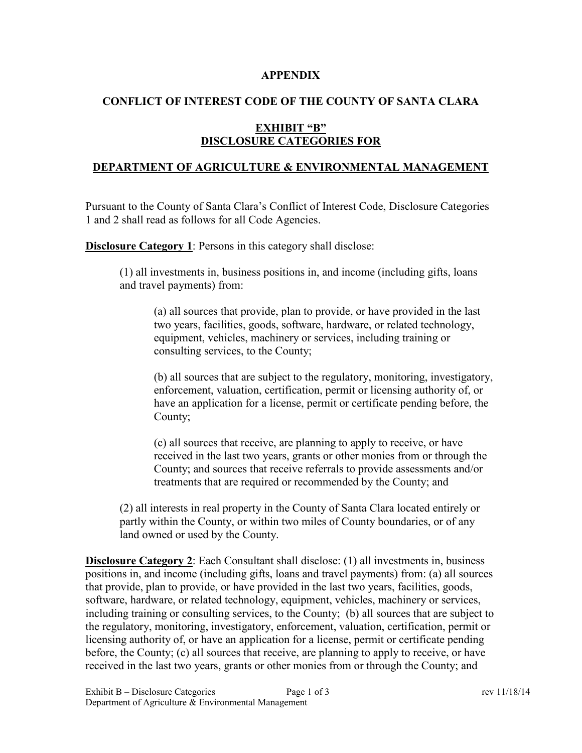#### **APPENDIX**

## **CONFLICT OF INTEREST CODE OF THE COUNTY OF SANTA CLARA**

# **EXHIBIT "B" DISCLOSURE CATEGORIES FOR**

### **DEPARTMENT OF AGRICULTURE & ENVIRONMENTAL MANAGEMENT**

Pursuant to the County of Santa Clara's Conflict of Interest Code, Disclosure Categories 1 and 2 shall read as follows for all Code Agencies.

**Disclosure Category 1:** Persons in this category shall disclose:

(1) all investments in, business positions in, and income (including gifts, loans and travel payments) from:

(a) all sources that provide, plan to provide, or have provided in the last two years, facilities, goods, software, hardware, or related technology, equipment, vehicles, machinery or services, including training or consulting services, to the County;

(b) all sources that are subject to the regulatory, monitoring, investigatory, enforcement, valuation, certification, permit or licensing authority of, or have an application for a license, permit or certificate pending before, the County;

(c) all sources that receive, are planning to apply to receive, or have received in the last two years, grants or other monies from or through the County; and sources that receive referrals to provide assessments and/or treatments that are required or recommended by the County; and

(2) all interests in real property in the County of Santa Clara located entirely or partly within the County, or within two miles of County boundaries, or of any land owned or used by the County.

**Disclosure Category 2**: Each Consultant shall disclose: (1) all investments in, business positions in, and income (including gifts, loans and travel payments) from: (a) all sources that provide, plan to provide, or have provided in the last two years, facilities, goods, software, hardware, or related technology, equipment, vehicles, machinery or services, including training or consulting services, to the County; (b) all sources that are subject to the regulatory, monitoring, investigatory, enforcement, valuation, certification, permit or licensing authority of, or have an application for a license, permit or certificate pending before, the County; (c) all sources that receive, are planning to apply to receive, or have received in the last two years, grants or other monies from or through the County; and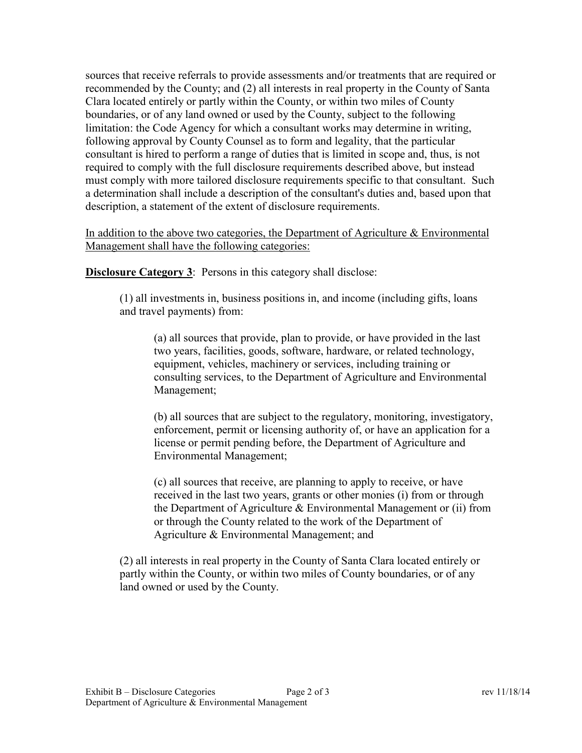sources that receive referrals to provide assessments and/or treatments that are required or recommended by the County; and (2) all interests in real property in the County of Santa Clara located entirely or partly within the County, or within two miles of County boundaries, or of any land owned or used by the County, subject to the following limitation: the Code Agency for which a consultant works may determine in writing, following approval by County Counsel as to form and legality, that the particular consultant is hired to perform a range of duties that is limited in scope and, thus, is not required to comply with the full disclosure requirements described above, but instead must comply with more tailored disclosure requirements specific to that consultant. Such a determination shall include a description of the consultant's duties and, based upon that description, a statement of the extent of disclosure requirements.

In addition to the above two categories, the Department of Agriculture & Environmental Management shall have the following categories:

**Disclosure Category 3:** Persons in this category shall disclose:

(1) all investments in, business positions in, and income (including gifts, loans and travel payments) from:

(a) all sources that provide, plan to provide, or have provided in the last two years, facilities, goods, software, hardware, or related technology, equipment, vehicles, machinery or services, including training or consulting services, to the Department of Agriculture and Environmental Management;

(b) all sources that are subject to the regulatory, monitoring, investigatory, enforcement, permit or licensing authority of, or have an application for a license or permit pending before, the Department of Agriculture and Environmental Management;

(c) all sources that receive, are planning to apply to receive, or have received in the last two years, grants or other monies (i) from or through the Department of Agriculture & Environmental Management or (ii) from or through the County related to the work of the Department of Agriculture & Environmental Management; and

(2) all interests in real property in the County of Santa Clara located entirely or partly within the County, or within two miles of County boundaries, or of any land owned or used by the County.